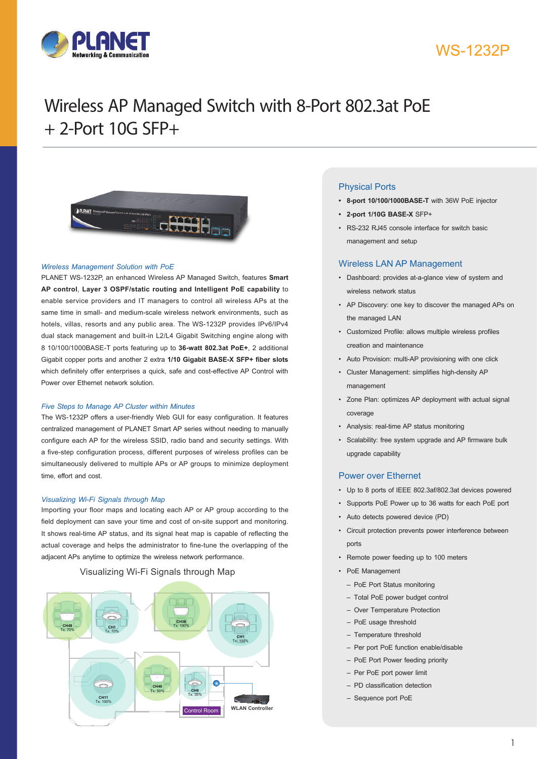



# Wireless AP Managed Switch with 8-Port 802.3at PoE + 2-Port 10G SFP+



#### *Wireless Management Solution with PoE*

PLANET WS-1232P, an enhanced Wireless AP Managed Switch, features **Smart AP control**, **Layer 3 OSPF/static routing and Intelligent PoE capability** to enable service providers and IT managers to control all wireless APs at the same time in small- and medium-scale wireless network environments, such as hotels, villas, resorts and any public area. The WS-1232P provides IPv6/IPv4 dual stack management and built-in L2/L4 Gigabit Switching engine along with 8 10/100/1000BASE-T ports featuring up to **36-watt 802.3at PoE+**, 2 additional Gigabit copper ports and another 2 extra **1/10 Gigabit BASE-X SFP+ fiber slots**  which definitely offer enterprises a quick, safe and cost-effective AP Control with Power over Ethernet network solution.

#### *Five Steps to Manage AP Cluster within Minutes*

The WS-1232P offers a user-friendly Web GUI for easy configuration. It features centralized management of PLANET Smart AP series without needing to manually configure each AP for the wireless SSID, radio band and security settings. With a five-step configuration process, different purposes of wireless profiles can be simultaneously delivered to multiple APs or AP groups to minimize deployment time, effort and cost.

#### *Visualizing Wi-Fi Signals through Map*

Importing your floor maps and locating each AP or AP group according to the field deployment can save your time and cost of on-site support and monitoring. It shows real-time AP status, and its signal heat map is capable of reflecting the actual coverage and helps the administrator to fine-tune the overlapping of the adjacent APs anytime to optimize the wireless network performance.

### Visualizing Wi-Fi Signals through Map



### Physical Ports

- **• 8-port 10/100/1000BASE-T** with 36W PoE injector
- **• 2-port 1/10G BASE-X** SFP+
- RS-232 RJ45 console interface for switch basic management and setup

#### Wireless LAN AP Management

- • Dashboard: provides at-a-glance view of system and wireless network status
- • AP Discovery: one key to discover the managed APs on the managed LAN
- • Customized Profile: allows multiple wireless profiles creation and maintenance
- • Auto Provision: multi-AP provisioning with one click
- • Cluster Management: simplifies high-density AP management
- • Zone Plan: optimizes AP deployment with actual signal coverage
- • Analysis: real-time AP status monitoring
- • Scalability: free system upgrade and AP firmware bulk upgrade capability

#### Power over Ethernet

- • Up to 8 ports of IEEE 802.3af/802.3at devices powered
- • Supports PoE Power up to 36 watts for each PoE port
- • Auto detects powered device (PD)
- • Circuit protection prevents power interference between ports
- • Remote power feeding up to 100 meters
- PoE Management
	- PoE Port Status monitoring
	- Total PoE power budget control
	- Over Temperature Protection
	- PoE usage threshold
	- Temperature threshold
	- Per port PoE function enable/disable
	- PoE Port Power feeding priority
	- Per PoE port power limit
	- PD classification detection
	- Sequence port PoE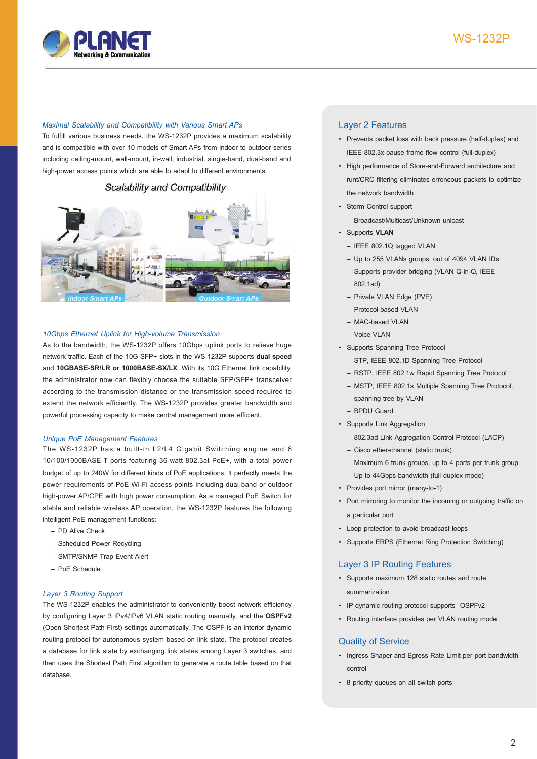

#### *Maximal Scalability and Compatibility with Various Smart APs*

To fulfill various business needs, the WS-1232P provides a maximum scalability and is compatible with over 10 models of Smart APs from indoor to outdoor series including ceiling-mount, wall-mount, in-wall, industrial, single-band, dual-band and high-power access points which are able to adapt to different environments.

## Scalability and Compatibility



#### *10Gbps Ethernet Uplink for High-volume Transmission*

As to the bandwidth, the WS-1232P offers 10Gbps uplink ports to relieve huge network traffic. Each of the 10G SFP+ slots in the WS-1232P supports **dual speed**  and **10GBASE-SR/LR or 1000BASE-SX/LX**. With its 10G Ethernet link capability, the administrator now can flexibly choose the suitable SFP/SFP+ transceiver according to the transmission distance or the transmission speed required to extend the network efficiently. The WS-1232P provides greater bandwidth and powerful processing capacity to make central management more efficient.

#### *Unique PoE Management Features*

The WS-1232P has a built-in L2/L4 Gigabit Switching engine and 8 10/100/1000BASE-T ports featuring 36-watt 802.3at PoE+, with a total power budget of up to 240W for different kinds of PoE applications. It perfectly meets the power requirements of PoE Wi-Fi access points including dual-band or outdoor high-power AP/CPE with high power consumption. As a managed PoE Switch for stable and reliable wireless AP operation, the WS-1232P features the following intelligent PoE management functions:

- PD Alive Check
- Scheduled Power Recycling
- SMTP/SNMP Trap Event Alert
- PoE Schedule

#### *Layer 3 Routing Support*

The WS-1232P enables the administrator to conveniently boost network efficiency by configuring Layer 3 IPv4/IPv6 VLAN static routing manually, and the **OSPFv2**  (Open Shortest Path First) settings automatically. The OSPF is an interior dynamic routing protocol for autonomous system based on link state. The protocol creates a database for link state by exchanging link states among Layer 3 switches, and then uses the Shortest Path First algorithm to generate a route table based on that database.

#### Layer 2 Features

- • Prevents packet loss with back pressure (half-duplex) and IEEE 802.3x pause frame flow control (full-duplex)
- • High performance of Store-and-Forward architecture and runt/CRC filtering eliminates erroneous packets to optimize the network bandwidth
- • Storm Control support
	- Broadcast/Multicast/Unknown unicast
- • Supports **VLAN**
	- IEEE 802.1Q tagged VLAN
	- Up to 255 VLANs groups, out of 4094 VLAN IDs
	- Supports provider bridging (VLAN Q-in-Q, IEEE 802.1ad)
	- Private VLAN Edge (PVE)
	- Protocol-based VLAN
	- MAC-based VLAN
	- Voice VLAN
- • Supports Spanning Tree Protocol
- STP, IEEE 802.1D Spanning Tree Protocol
- RSTP, IEEE 802.1w Rapid Spanning Tree Protocol
- MSTP, IEEE 802.1s Multiple Spanning Tree Protocol, spanning tree by VLAN
- BPDU Guard
- • Supports Link Aggregation
	- 802.3ad Link Aggregation Control Protocol (LACP)
	- Cisco ether-channel (static trunk)
	- Maximum 6 trunk groups, up to 4 ports per trunk group
- Up to 44Gbps bandwidth (full duplex mode)
- • Provides port mirror (many-to-1)
- Port mirroring to monitor the incoming or outgoing traffic on a particular port
- • Loop protection to avoid broadcast loops
- • Supports ERPS (Ethernet Ring Protection Switching)

#### Layer 3 IP Routing Features

- • Supports maximum 128 static routes and route summarization
- • IP dynamic routing protocol supports OSPFv2
- • Routing interface provides per VLAN routing mode

#### Quality of Service

- • Ingress Shaper and Egress Rate Limit per port bandwidth control
- • 8 priority queues on all switch ports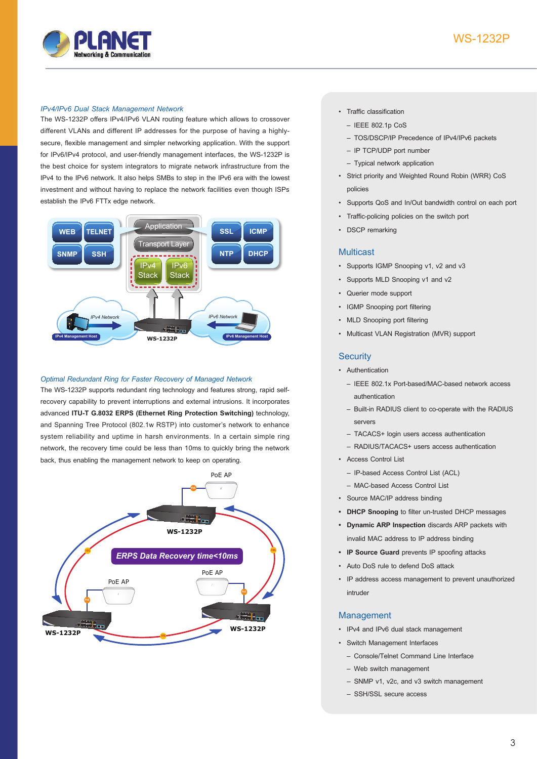![](_page_2_Picture_0.jpeg)

# WS-1232P

#### *IPv4/IPv6 Dual Stack Management Network*

The WS-1232P offers IPv4/IPv6 VLAN routing feature which allows to crossover different VLANs and different IP addresses for the purpose of having a highlysecure, flexible management and simpler networking application. With the support for IPv6/IPv4 protocol, and user-friendly management interfaces, the WS-1232P is the best choice for system integrators to migrate network infrastructure from the IPv4 to the IPv6 network. It also helps SMBs to step in the IPv6 era with the lowest investment and without having to replace the network facilities even though ISPs establish the IPv6 FTTx edge network.

![](_page_2_Figure_4.jpeg)

#### *Optimal Redundant Ring for Faster Recovery of Managed Network*

The WS-1232P supports redundant ring technology and features strong, rapid selfrecovery capability to prevent interruptions and external intrusions. It incorporates advanced **ITU-T G.8032 ERPS (Ethernet Ring Protection Switching)** technology, and Spanning Tree Protocol (802.1w RSTP) into customer's network to enhance system reliability and uptime in harsh environments. In a certain simple ring network, the recovery time could be less than 10ms to quickly bring the network back, thus enabling the management network to keep on operating.

![](_page_2_Figure_7.jpeg)

#### • Traffic classification

- IEEE 802.1p CoS
- TOS/DSCP/IP Precedence of IPv4/IPv6 packets
- IP TCP/UDP port number
- Typical network application
- • Strict priority and Weighted Round Robin (WRR) CoS policies
- • Supports QoS and In/Out bandwidth control on each port
- • Traffic-policing policies on the switch port
- **DSCP** remarking

### **Multicast**

- • Supports IGMP Snooping v1, v2 and v3
- Supports MLD Snooping v1 and v2
- Querier mode support
- • IGMP Snooping port filtering
- MLD Snooping port filtering
- Multicast VLAN Registration (MVR) support

### **Security**

- Authentication
	- IEEE 802.1x Port-based/MAC-based network access authentication
	- Built-in RADIUS client to co-operate with the RADIUS servers
	- TACACS+ login users access authentication
	- RADIUS/TACACS+ users access authentication
- • Access Control List
	- IP-based Access Control List (ACL)
	- MAC-based Access Control List
- • Source MAC/IP address binding
- **• DHCP Snooping** to filter un-trusted DHCP messages
- **• Dynamic ARP Inspection** discards ARP packets with invalid MAC address to IP address binding
- **• IP Source Guard** prevents IP spoofing attacks
- • Auto DoS rule to defend DoS attack
- • IP address access management to prevent unauthorized intruder

### Management

- • IPv4 and IPv6 dual stack management
- • Switch Management Interfaces
	- Console/Telnet Command Line Interface
	- Web switch management
	- SNMP v1, v2c, and v3 switch management
	- SSH/SSL secure access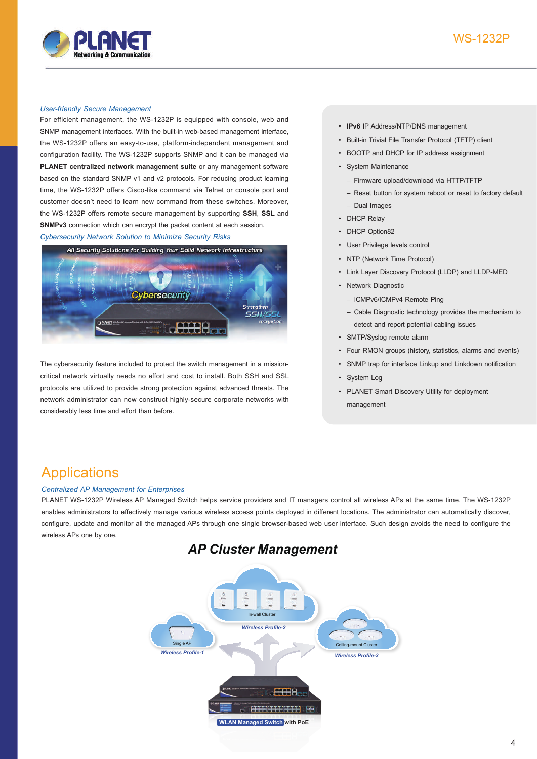![](_page_3_Picture_1.jpeg)

#### *User-friendly Secure Management*

For efficient management, the WS-1232P is equipped with console, web and SNMP management interfaces. With the built-in web-based management interface, the WS-1232P offers an easy-to-use, platform-independent management and configuration facility. The WS-1232P supports SNMP and it can be managed via **PLANET centralized network management suite** or any management software based on the standard SNMP v1 and v2 protocols. For reducing product learning time, the WS-1232P offers Cisco-like command via Telnet or console port and customer doesn't need to learn new command from these switches. Moreover, the WS-1232P offers remote secure management by supporting **SSH**, **SSL** and **SNMPv3** connection which can encrypt the packet content at each session.

*Cybersecurity Network Solution to Minimize Security Risks*

![](_page_3_Picture_5.jpeg)

The cybersecurity feature included to protect the switch management in a missioncritical network virtually needs no effort and cost to install. Both SSH and SSL protocols are utilized to provide strong protection against advanced threats. The network administrator can now construct highly-secure corporate networks with considerably less time and effort than before.

- **• IPv6** IP Address/NTP/DNS management
- • Built-in Trivial File Transfer Protocol (TFTP) client
- • BOOTP and DHCP for IP address assignment
- • System Maintenance
	- Firmware upload/download via HTTP/TFTP
	- Reset button for system reboot or reset to factory default – Dual Images
- DHCP Relay
- DHCP Option82
- User Privilege levels control
- **NTP (Network Time Protocol)**
- Link Layer Discovery Protocol (LLDP) and LLDP-MED
- • Network Diagnostic
	- ICMPv6/ICMPv4 Remote Ping
	- Cable Diagnostic technology provides the mechanism to detect and report potential cabling issues
- • SMTP/Syslog remote alarm
- • Four RMON groups (history, statistics, alarms and events)
- SNMP trap for interface Linkup and Linkdown notification
- • System Log
- PLANET Smart Discovery Utility for deployment management

# Applications

## *Centralized AP Management for Enterprises*

PLANET WS-1232P Wireless AP Managed Switch helps service providers and IT managers control all wireless APs at the same time. The WS-1232P enables administrators to effectively manage various wireless access points deployed in different locations. The administrator can automatically discover, configure, update and monitor all the managed APs through one single browser-based web user interface. Such design avoids the need to configure the wireless APs one by one.

![](_page_3_Figure_29.jpeg)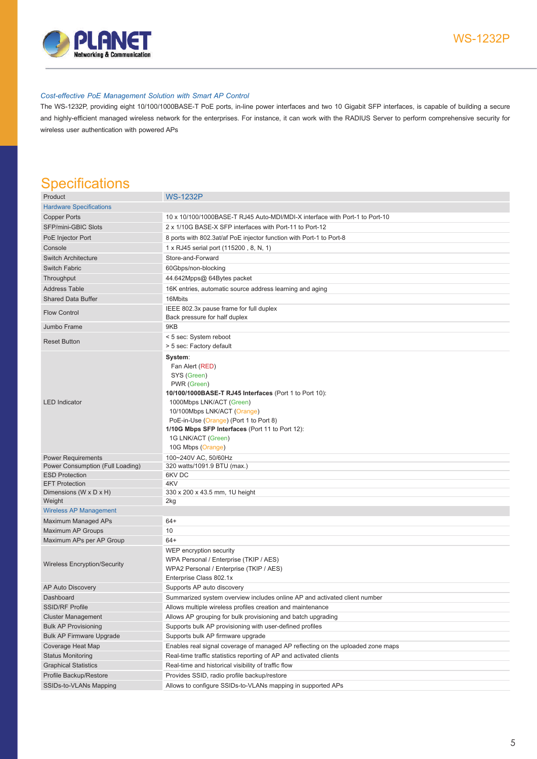![](_page_4_Picture_0.jpeg)

#### *Cost-effective PoE Management Solution with Smart AP Control*

The WS-1232P, providing eight 10/100/1000BASE-T PoE ports, in-line power interfaces and two 10 Gigabit SFP interfaces, is capable of building a secure and highly-efficient managed wireless network for the enterprises. For instance, it can work with the RADIUS Server to perform comprehensive security for wireless user authentication with powered APs

# **Specifications**

| Product                             | <b>WS-1232P</b>                                                                                                                                                                                                                                                                                  |
|-------------------------------------|--------------------------------------------------------------------------------------------------------------------------------------------------------------------------------------------------------------------------------------------------------------------------------------------------|
| <b>Hardware Specifications</b>      |                                                                                                                                                                                                                                                                                                  |
| <b>Copper Ports</b>                 | 10 x 10/100/1000BASE-T RJ45 Auto-MDI/MDI-X interface with Port-1 to Port-10                                                                                                                                                                                                                      |
| SFP/mini-GBIC Slots                 | 2 x 1/10G BASE-X SFP interfaces with Port-11 to Port-12                                                                                                                                                                                                                                          |
| PoE Injector Port                   | 8 ports with 802.3at/af PoE injector function with Port-1 to Port-8                                                                                                                                                                                                                              |
| Console                             | 1 x RJ45 serial port (115200, 8, N, 1)                                                                                                                                                                                                                                                           |
| <b>Switch Architecture</b>          | Store-and-Forward                                                                                                                                                                                                                                                                                |
| <b>Switch Fabric</b>                | 60Gbps/non-blocking                                                                                                                                                                                                                                                                              |
| Throughput                          | 44.642Mpps@ 64Bytes packet                                                                                                                                                                                                                                                                       |
| <b>Address Table</b>                | 16K entries, automatic source address learning and aging                                                                                                                                                                                                                                         |
| <b>Shared Data Buffer</b>           | 16Mbits                                                                                                                                                                                                                                                                                          |
|                                     | IEEE 802.3x pause frame for full duplex                                                                                                                                                                                                                                                          |
| <b>Flow Control</b>                 | Back pressure for half duplex                                                                                                                                                                                                                                                                    |
| Jumbo Frame                         | 9KB                                                                                                                                                                                                                                                                                              |
|                                     | < 5 sec: System reboot                                                                                                                                                                                                                                                                           |
| <b>Reset Button</b>                 | > 5 sec: Factory default                                                                                                                                                                                                                                                                         |
| <b>LED</b> Indicator                | System:<br>Fan Alert (RED)<br>SYS (Green)<br>PWR (Green)<br>10/100/1000BASE-T RJ45 Interfaces (Port 1 to Port 10):<br>1000Mbps LNK/ACT (Green)<br>10/100Mbps LNK/ACT (Orange)<br>PoE-in-Use (Orange) (Port 1 to Port 8)<br>1/10G Mbps SFP Interfaces (Port 11 to Port 12):<br>1G LNK/ACT (Green) |
|                                     | 10G Mbps (Orange)                                                                                                                                                                                                                                                                                |
| <b>Power Requirements</b>           | 100~240V AC, 50/60Hz                                                                                                                                                                                                                                                                             |
| Power Consumption (Full Loading)    | 320 watts/1091.9 BTU (max.)                                                                                                                                                                                                                                                                      |
| <b>ESD Protection</b>               | 6KV DC                                                                                                                                                                                                                                                                                           |
| <b>EFT Protection</b>               | 4KV                                                                                                                                                                                                                                                                                              |
| Dimensions (W x D x H)<br>Weight    | 330 x 200 x 43.5 mm, 1U height<br>2kg                                                                                                                                                                                                                                                            |
| <b>Wireless AP Management</b>       |                                                                                                                                                                                                                                                                                                  |
| Maximum Managed APs                 | $64+$                                                                                                                                                                                                                                                                                            |
| Maximum AP Groups                   | 10                                                                                                                                                                                                                                                                                               |
| Maximum APs per AP Group            | $64+$                                                                                                                                                                                                                                                                                            |
| <b>Wireless Encryption/Security</b> | WEP encryption security<br>WPA Personal / Enterprise (TKIP / AES)<br>WPA2 Personal / Enterprise (TKIP / AES)<br>Enterprise Class 802.1x                                                                                                                                                          |
| AP Auto Discovery                   | Supports AP auto discovery                                                                                                                                                                                                                                                                       |
| Dashboard                           | Summarized system overview includes online AP and activated client number                                                                                                                                                                                                                        |
| <b>SSID/RF Profile</b>              | Allows multiple wireless profiles creation and maintenance                                                                                                                                                                                                                                       |
| <b>Cluster Management</b>           | Allows AP grouping for bulk provisioning and batch upgrading                                                                                                                                                                                                                                     |
| <b>Bulk AP Provisioning</b>         | Supports bulk AP provisioning with user-defined profiles                                                                                                                                                                                                                                         |
| <b>Bulk AP Firmware Upgrade</b>     | Supports bulk AP firmware upgrade                                                                                                                                                                                                                                                                |
| Coverage Heat Map                   | Enables real signal coverage of managed AP reflecting on the uploaded zone maps                                                                                                                                                                                                                  |
| <b>Status Monitoring</b>            | Real-time traffic statistics reporting of AP and activated clients                                                                                                                                                                                                                               |
| <b>Graphical Statistics</b>         | Real-time and historical visibility of traffic flow                                                                                                                                                                                                                                              |
| Profile Backup/Restore              | Provides SSID, radio profile backup/restore                                                                                                                                                                                                                                                      |
| SSIDs-to-VLANs Mapping              | Allows to configure SSIDs-to-VLANs mapping in supported APs                                                                                                                                                                                                                                      |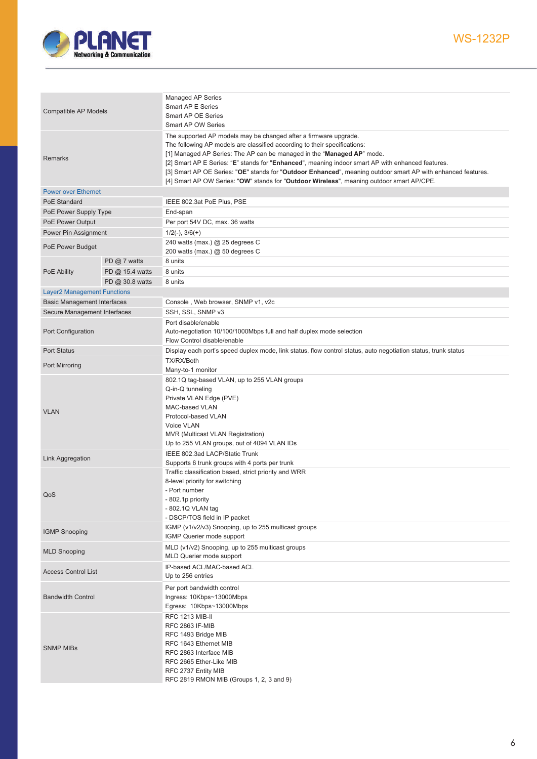![](_page_5_Picture_0.jpeg)

| Compatible AP Models               |                 | Managed AP Series<br>Smart AP E Series<br>Smart AP OE Series<br>Smart AP OW Series                                                                                                                                                                                                                                                                                                                                                                                                                                                        |
|------------------------------------|-----------------|-------------------------------------------------------------------------------------------------------------------------------------------------------------------------------------------------------------------------------------------------------------------------------------------------------------------------------------------------------------------------------------------------------------------------------------------------------------------------------------------------------------------------------------------|
| Remarks                            |                 | The supported AP models may be changed after a firmware upgrade.<br>The following AP models are classified according to their specifications:<br>[1] Managed AP Series: The AP can be managed in the "Managed AP" mode.<br>[2] Smart AP E Series: "E" stands for "Enhanced", meaning indoor smart AP with enhanced features.<br>[3] Smart AP OE Series: "OE" stands for "Outdoor Enhanced", meaning outdoor smart AP with enhanced features.<br>[4] Smart AP OW Series: "OW" stands for "Outdoor Wireless", meaning outdoor smart AP/CPE. |
| <b>Power over Ethernet</b>         |                 |                                                                                                                                                                                                                                                                                                                                                                                                                                                                                                                                           |
| PoE Standard                       |                 | IEEE 802.3at PoE Plus, PSE                                                                                                                                                                                                                                                                                                                                                                                                                                                                                                                |
| PoE Power Supply Type              |                 | End-span                                                                                                                                                                                                                                                                                                                                                                                                                                                                                                                                  |
| PoE Power Output                   |                 | Per port 54V DC, max. 36 watts                                                                                                                                                                                                                                                                                                                                                                                                                                                                                                            |
| Power Pin Assignment               |                 | $1/2(-), 3/6(+)$                                                                                                                                                                                                                                                                                                                                                                                                                                                                                                                          |
| PoE Power Budget                   |                 | 240 watts (max.) @ 25 degrees C<br>200 watts (max.) @ 50 degrees C                                                                                                                                                                                                                                                                                                                                                                                                                                                                        |
|                                    | PD $@$ 7 watts  | 8 units                                                                                                                                                                                                                                                                                                                                                                                                                                                                                                                                   |
| PoE Ability                        | PD @ 15.4 watts | 8 units                                                                                                                                                                                                                                                                                                                                                                                                                                                                                                                                   |
|                                    | PD @ 30.8 watts | 8 units                                                                                                                                                                                                                                                                                                                                                                                                                                                                                                                                   |
| <b>Layer2 Management Functions</b> |                 |                                                                                                                                                                                                                                                                                                                                                                                                                                                                                                                                           |
| <b>Basic Management Interfaces</b> |                 | Console, Web browser, SNMP v1, v2c                                                                                                                                                                                                                                                                                                                                                                                                                                                                                                        |
|                                    |                 |                                                                                                                                                                                                                                                                                                                                                                                                                                                                                                                                           |
| Secure Management Interfaces       |                 | SSH, SSL, SNMP v3                                                                                                                                                                                                                                                                                                                                                                                                                                                                                                                         |
| Port Configuration                 |                 | Port disable/enable<br>Auto-negotiation 10/100/1000Mbps full and half duplex mode selection<br>Flow Control disable/enable                                                                                                                                                                                                                                                                                                                                                                                                                |
| <b>Port Status</b>                 |                 | Display each port's speed duplex mode, link status, flow control status, auto negotiation status, trunk status                                                                                                                                                                                                                                                                                                                                                                                                                            |
| Port Mirroring                     |                 | TX/RX/Both<br>Many-to-1 monitor                                                                                                                                                                                                                                                                                                                                                                                                                                                                                                           |
| <b>VLAN</b>                        |                 | 802.1Q tag-based VLAN, up to 255 VLAN groups<br>Q-in-Q tunneling<br>Private VLAN Edge (PVE)<br>MAC-based VLAN<br>Protocol-based VLAN<br>Voice VLAN<br>MVR (Multicast VLAN Registration)<br>Up to 255 VLAN groups, out of 4094 VLAN IDs                                                                                                                                                                                                                                                                                                    |
| Link Aggregation                   |                 | IEEE 802.3ad LACP/Static Trunk<br>Supports 6 trunk groups with 4 ports per trunk                                                                                                                                                                                                                                                                                                                                                                                                                                                          |
| QoS                                |                 | Traffic classification based, strict priority and WRR<br>8-level priority for switching<br>- Port number<br>- 802.1p priority<br>- 802.1Q VLAN tag<br>- DSCP/TOS field in IP packet                                                                                                                                                                                                                                                                                                                                                       |
| <b>IGMP Snooping</b>               |                 | IGMP (v1/v2/v3) Snooping, up to 255 multicast groups<br>IGMP Querier mode support                                                                                                                                                                                                                                                                                                                                                                                                                                                         |
| <b>MLD Snooping</b>                |                 | MLD (v1/v2) Snooping, up to 255 multicast groups<br>MLD Querier mode support                                                                                                                                                                                                                                                                                                                                                                                                                                                              |
| <b>Access Control List</b>         |                 | IP-based ACL/MAC-based ACL<br>Up to 256 entries                                                                                                                                                                                                                                                                                                                                                                                                                                                                                           |
| <b>Bandwidth Control</b>           |                 | Per port bandwidth control<br>Ingress: 10Kbps~13000Mbps<br>Egress: 10Kbps~13000Mbps                                                                                                                                                                                                                                                                                                                                                                                                                                                       |
| <b>SNMP MIBs</b>                   |                 | <b>RFC 1213 MIB-II</b><br><b>RFC 2863 IF-MIB</b><br>RFC 1493 Bridge MIB<br>RFC 1643 Ethernet MIB<br>RFC 2863 Interface MIB<br>RFC 2665 Ether-Like MIB<br>RFC 2737 Entity MIB<br>RFC 2819 RMON MIB (Groups 1, 2, 3 and 9)                                                                                                                                                                                                                                                                                                                  |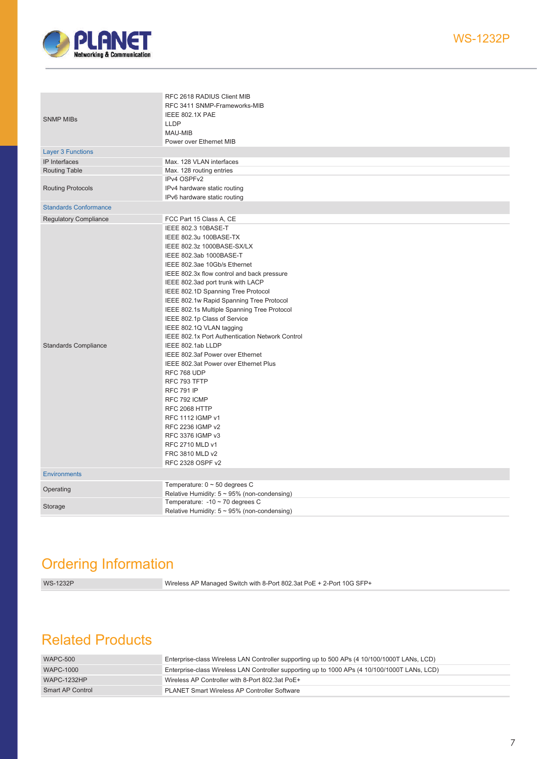![](_page_6_Picture_0.jpeg)

| <b>SNMP MIBs</b>             | RFC 2618 RADIUS Client MIB<br>RFC 3411 SNMP-Frameworks-MIB<br>IEEE 802.1X PAE<br><b>LLDP</b><br>MAU-MIB<br>Power over Ethernet MIB |
|------------------------------|------------------------------------------------------------------------------------------------------------------------------------|
| <b>Layer 3 Functions</b>     |                                                                                                                                    |
| IP Interfaces                | Max. 128 VLAN interfaces                                                                                                           |
| <b>Routing Table</b>         | Max. 128 routing entries                                                                                                           |
|                              | IPv4 OSPFv2                                                                                                                        |
| <b>Routing Protocols</b>     | IPv4 hardware static routing                                                                                                       |
|                              | IPv6 hardware static routing                                                                                                       |
| <b>Standards Conformance</b> |                                                                                                                                    |
| <b>Regulatory Compliance</b> | FCC Part 15 Class A, CE                                                                                                            |
|                              | IEEE 802.3 10BASE-T                                                                                                                |
|                              | IEEE 802.3u 100BASE-TX                                                                                                             |
|                              | IEEE 802.3z 1000BASE-SX/LX                                                                                                         |
|                              | IEEE 802.3ab 1000BASE-T                                                                                                            |
|                              | IEEE 802.3ae 10Gb/s Ethernet                                                                                                       |
|                              | IEEE 802.3x flow control and back pressure                                                                                         |
|                              | IEEE 802.3ad port trunk with LACP                                                                                                  |
|                              | IEEE 802.1D Spanning Tree Protocol                                                                                                 |
|                              | IEEE 802.1w Rapid Spanning Tree Protocol                                                                                           |
|                              | IEEE 802.1s Multiple Spanning Tree Protocol                                                                                        |
|                              | IEEE 802.1p Class of Service                                                                                                       |
|                              | IEEE 802.1Q VLAN tagging                                                                                                           |
|                              | IEEE 802.1x Port Authentication Network Control                                                                                    |
| <b>Standards Compliance</b>  | IEEE 802.1ab LLDP                                                                                                                  |
|                              | IEEE 802.3af Power over Ethernet                                                                                                   |
|                              | IEEE 802.3at Power over Ethernet Plus                                                                                              |
|                              | RFC 768 UDP                                                                                                                        |
|                              | RFC 793 TFTP                                                                                                                       |
|                              | <b>RFC 791 IP</b>                                                                                                                  |
|                              | RFC 792 ICMP                                                                                                                       |
|                              | <b>RFC 2068 HTTP</b>                                                                                                               |
|                              | RFC 1112 IGMP v1                                                                                                                   |
|                              | RFC 2236 IGMP v2                                                                                                                   |
|                              | RFC 3376 IGMP v3                                                                                                                   |
|                              | RFC 2710 MLD v1                                                                                                                    |
|                              | FRC 3810 MLD v2                                                                                                                    |
|                              | RFC 2328 OSPF v2                                                                                                                   |
| <b>Environments</b>          |                                                                                                                                    |
|                              | Temperature: $0 \sim 50$ degrees C                                                                                                 |
| Operating                    | Relative Humidity: $5 \sim 95\%$ (non-condensing)                                                                                  |
|                              | Temperature: $-10 \sim 70$ degrees C                                                                                               |
| Storage                      | Relative Humidity: $5 \sim 95\%$ (non-condensing)                                                                                  |
|                              |                                                                                                                                    |

# Ordering Information

WS-1232P Wireless AP Managed Switch with 8-Port 802.3at PoE + 2-Port 10G SFP+

# Related Products

| <b>WAPC-500</b>    | Enterprise-class Wireless LAN Controller supporting up to 500 APs (4 10/100/1000T LANs, LCD)  |
|--------------------|-----------------------------------------------------------------------------------------------|
| <b>WAPC-1000</b>   | Enterprise-class Wireless LAN Controller supporting up to 1000 APs (4 10/100/1000T LANs, LCD) |
| <b>WAPC-1232HP</b> | Wireless AP Controller with 8-Port 802.3at PoE+                                               |
| Smart AP Control   | <b>PLANET Smart Wireless AP Controller Software</b>                                           |